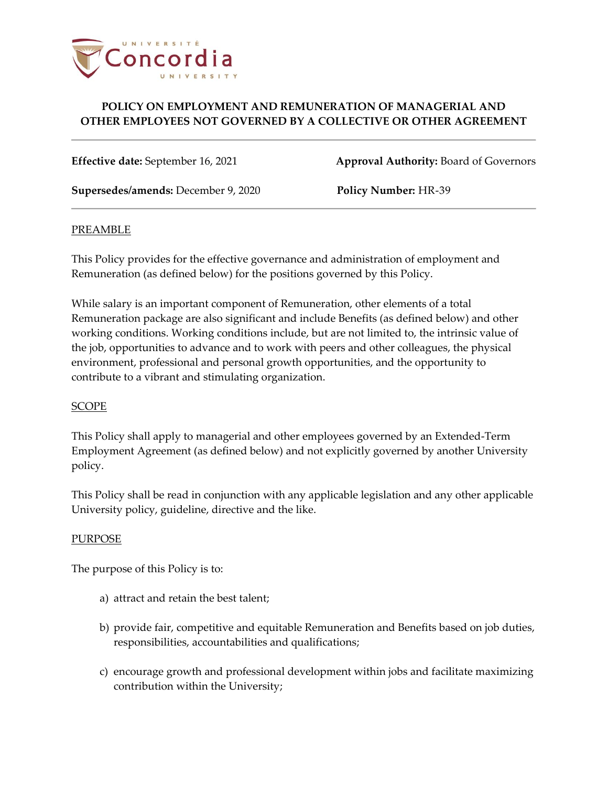

**Effective date:** September 16, 2021 **Approval Authority:** Board of Governors

**Supersedes/amends:** December 9, 2020 **Policy Number:** HR-39

### PREAMBLE

This Policy provides for the effective governance and administration of employment and Remuneration (as defined below) for the positions governed by this Policy.

While salary is an important component of Remuneration, other elements of a total Remuneration package are also significant and include Benefits (as defined below) and other working conditions. Working conditions include, but are not limited to, the intrinsic value of the job, opportunities to advance and to work with peers and other colleagues, the physical environment, professional and personal growth opportunities, and the opportunity to contribute to a vibrant and stimulating organization.

### **SCOPE**

This Policy shall apply to managerial and other employees governed by an Extended-Term Employment Agreement (as defined below) and not explicitly governed by another University policy.

This Policy shall be read in conjunction with any applicable legislation and any other applicable University policy, guideline, directive and the like.

### PURPOSE

The purpose of this Policy is to:

- a) attract and retain the best talent;
- b) provide fair, competitive and equitable Remuneration and Benefits based on job duties, responsibilities, accountabilities and qualifications;
- c) encourage growth and professional development within jobs and facilitate maximizing contribution within the University;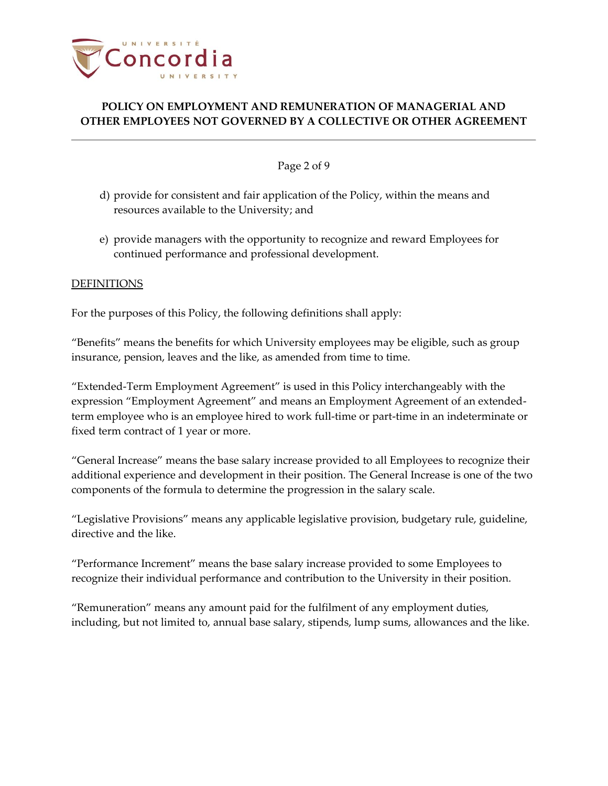

#### Page 2 of 9

- d) provide for consistent and fair application of the Policy, within the means and resources available to the University; and
- e) provide managers with the opportunity to recognize and reward Employees for continued performance and professional development.

#### **DEFINITIONS**

For the purposes of this Policy, the following definitions shall apply:

"Benefits" means the benefits for which University employees may be eligible, such as group insurance, pension, leaves and the like, as amended from time to time.

"Extended-Term Employment Agreement" is used in this Policy interchangeably with the expression "Employment Agreement" and means an Employment Agreement of an extendedterm employee who is an employee hired to work full-time or part-time in an indeterminate or fixed term contract of 1 year or more.

"General Increase" means the base salary increase provided to all Employees to recognize their additional experience and development in their position. The General Increase is one of the two components of the formula to determine the progression in the salary scale.

"Legislative Provisions" means any applicable legislative provision, budgetary rule, guideline, directive and the like.

"Performance Increment" means the base salary increase provided to some Employees to recognize their individual performance and contribution to the University in their position.

"Remuneration" means any amount paid for the fulfilment of any employment duties, including, but not limited to, annual base salary, stipends, lump sums, allowances and the like.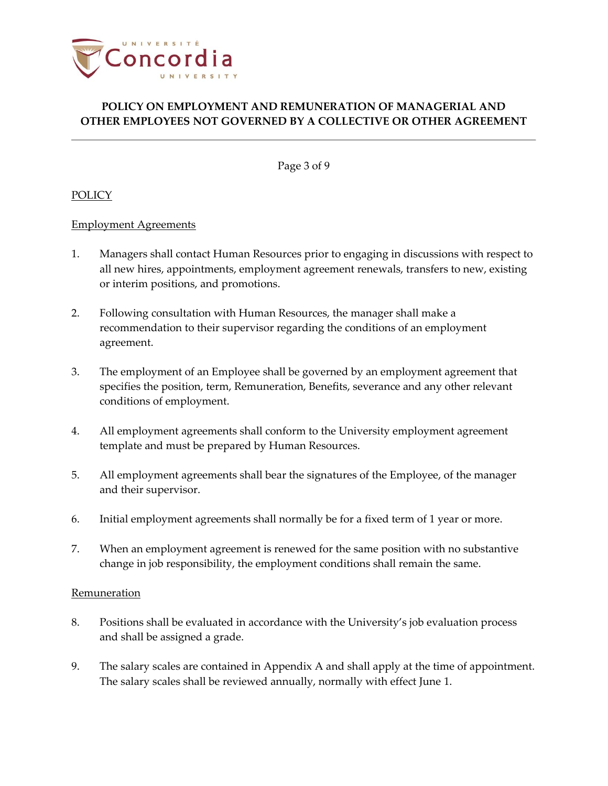

Page 3 of 9

### **POLICY**

#### Employment Agreements

- 1. Managers shall contact Human Resources prior to engaging in discussions with respect to all new hires, appointments, employment agreement renewals, transfers to new, existing or interim positions, and promotions.
- 2. Following consultation with Human Resources, the manager shall make a recommendation to their supervisor regarding the conditions of an employment agreement.
- 3. The employment of an Employee shall be governed by an employment agreement that specifies the position, term, Remuneration, Benefits, severance and any other relevant conditions of employment.
- 4. All employment agreements shall conform to the University employment agreement template and must be prepared by Human Resources.
- 5. All employment agreements shall bear the signatures of the Employee, of the manager and their supervisor.
- 6. Initial employment agreements shall normally be for a fixed term of 1 year or more.
- 7. When an employment agreement is renewed for the same position with no substantive change in job responsibility, the employment conditions shall remain the same.

### **Remuneration**

- 8. Positions shall be evaluated in accordance with the University's job evaluation process and shall be assigned a grade.
- <span id="page-2-0"></span>9. The salary scales are contained in Appendix A and shall apply at the time of appointment. The salary scales shall be reviewed annually, normally with effect June 1.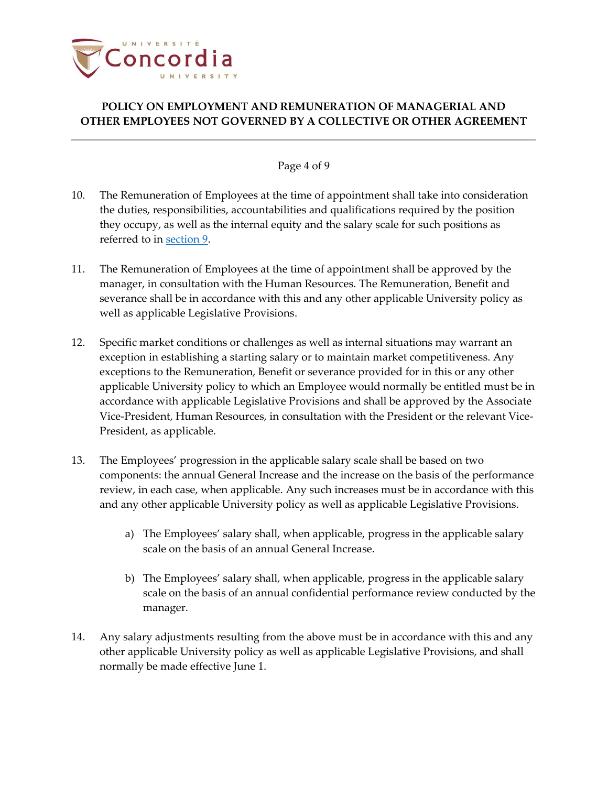

### Page 4 of 9

- 10. The Remuneration of Employees at the time of appointment shall take into consideration the duties, responsibilities, accountabilities and qualifications required by the position they occupy, as well as the internal equity and the salary scale for such positions as referred to in [section](#page-2-0) 9.
- 11. The Remuneration of Employees at the time of appointment shall be approved by the manager, in consultation with the Human Resources. The Remuneration, Benefit and severance shall be in accordance with this and any other applicable University policy as well as applicable Legislative Provisions.
- 12. Specific market conditions or challenges as well as internal situations may warrant an exception in establishing a starting salary or to maintain market competitiveness. Any exceptions to the Remuneration, Benefit or severance provided for in this or any other applicable University policy to which an Employee would normally be entitled must be in accordance with applicable Legislative Provisions and shall be approved by the Associate Vice-President, Human Resources, in consultation with the President or the relevant Vice-President, as applicable.
- 13. The Employees' progression in the applicable salary scale shall be based on two components: the annual General Increase and the increase on the basis of the performance review, in each case, when applicable. Any such increases must be in accordance with this and any other applicable University policy as well as applicable Legislative Provisions.
	- a) The Employees' salary shall, when applicable, progress in the applicable salary scale on the basis of an annual General Increase.
	- b) The Employees' salary shall, when applicable, progress in the applicable salary scale on the basis of an annual confidential performance review conducted by the manager.
- <span id="page-3-0"></span>14. Any salary adjustments resulting from the above must be in accordance with this and any other applicable University policy as well as applicable Legislative Provisions, and shall normally be made effective June 1.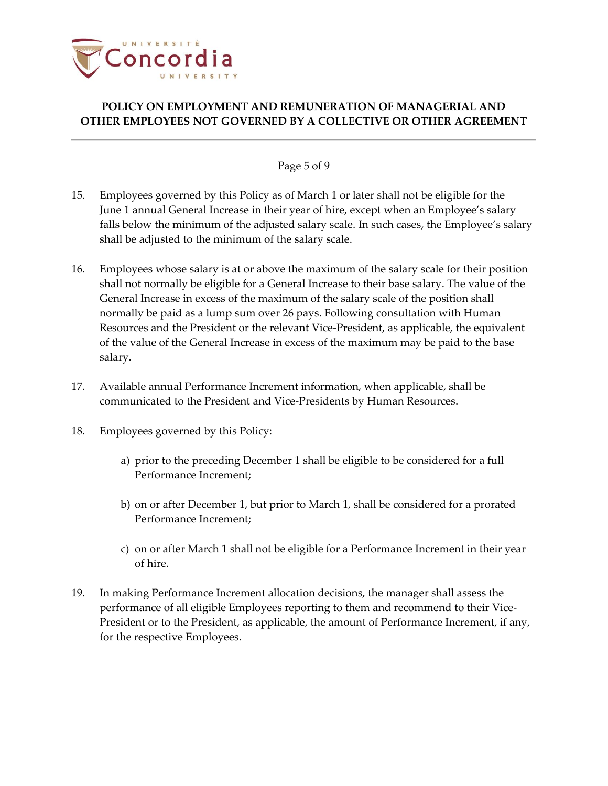

### Page 5 of 9

- 15. Employees governed by this Policy as of March 1 or later shall not be eligible for the June 1 annual General Increase in their year of hire, except when an Employee's salary falls below the minimum of the adjusted salary scale. In such cases, the Employee's salary shall be adjusted to the minimum of the salary scale.
- 16. Employees whose salary is at or above the maximum of the salary scale for their position shall not normally be eligible for a General Increase to their base salary. The value of the General Increase in excess of the maximum of the salary scale of the position shall normally be paid as a lump sum over 26 pays. Following consultation with Human Resources and the President or the relevant Vice-President, as applicable, the equivalent of the value of the General Increase in excess of the maximum may be paid to the base salary.
- 17. Available annual Performance Increment information, when applicable, shall be communicated to the President and Vice-Presidents by Human Resources.
- <span id="page-4-0"></span>18. Employees governed by this Policy:
	- a) prior to the preceding December 1 shall be eligible to be considered for a full Performance Increment;
	- b) on or after December 1, but prior to March 1, shall be considered for a prorated Performance Increment;
	- c) on or after March 1 shall not be eligible for a Performance Increment in their year of hire.
- 19. In making Performance Increment allocation decisions, the manager shall assess the performance of all eligible Employees reporting to them and recommend to their Vice-President or to the President, as applicable, the amount of Performance Increment, if any, for the respective Employees.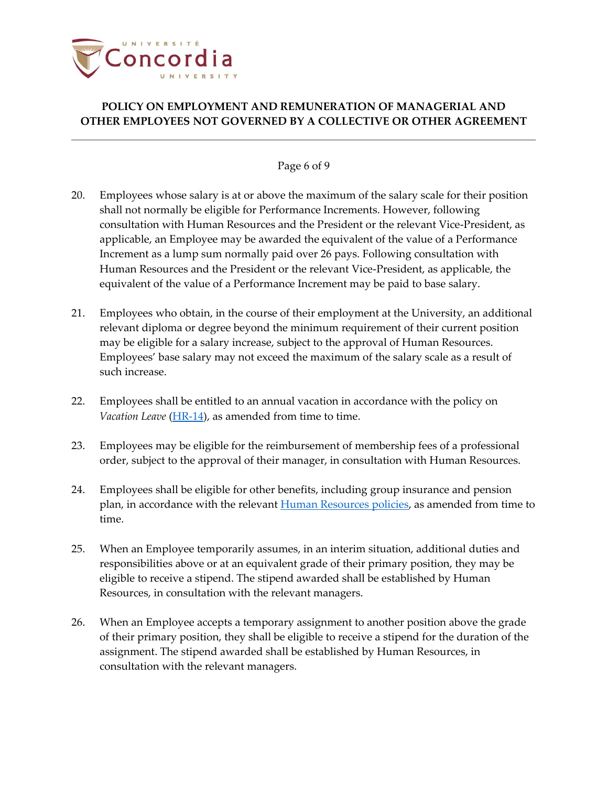

### Page 6 of 9

- 20. Employees whose salary is at or above the maximum of the salary scale for their position shall not normally be eligible for Performance Increments. However, following consultation with Human Resources and the President or the relevant Vice-President, as applicable, an Employee may be awarded the equivalent of the value of a Performance Increment as a lump sum normally paid over 26 pays. Following consultation with Human Resources and the President or the relevant Vice-President, as applicable, the equivalent of the value of a Performance Increment may be paid to base salary.
- 21. Employees who obtain, in the course of their employment at the University, an additional relevant diploma or degree beyond the minimum requirement of their current position may be eligible for a salary increase, subject to the approval of Human Resources. Employees' base salary may not exceed the maximum of the salary scale as a result of such increase.
- 22. Employees shall be entitled to an annual vacation in accordance with the policy on *Vacation Leave* [\(HR-14\)](https://www.concordia.ca/content/dam/common/docs/policies/official-policies/HR-14.pdf), as amended from time to time.
- 23. Employees may be eligible for the reimbursement of membership fees of a professional order, subject to the approval of their manager, in consultation with Human Resources.
- 24. Employees shall be eligible for other benefits, including group insurance and pension plan, in accordance with the relevant [Human Resources policies,](https://www.concordia.ca/about/policies/sector.html#HR2) as amended from time to time.
- 25. When an Employee temporarily assumes, in an interim situation, additional duties and responsibilities above or at an equivalent grade of their primary position, they may be eligible to receive a stipend. The stipend awarded shall be established by Human Resources, in consultation with the relevant managers.
- 26. When an Employee accepts a temporary assignment to another position above the grade of their primary position, they shall be eligible to receive a stipend for the duration of the assignment. The stipend awarded shall be established by Human Resources, in consultation with the relevant managers.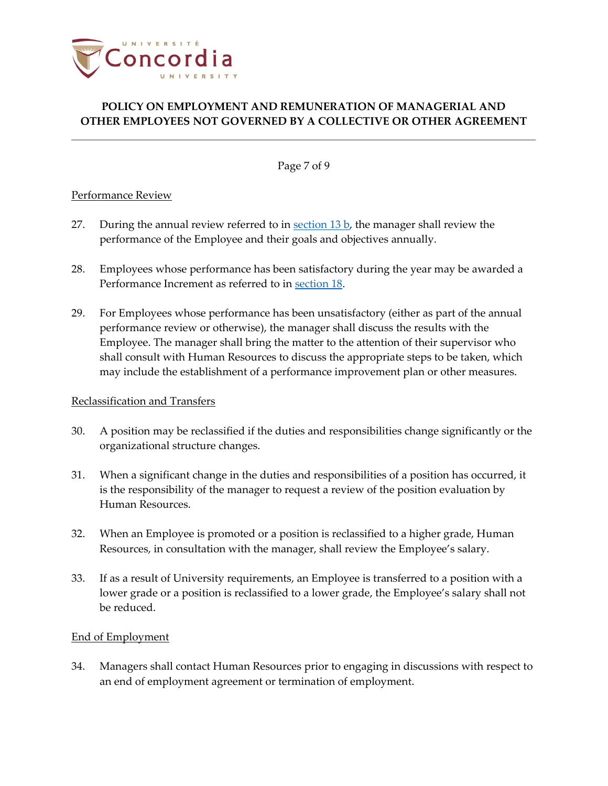

Page 7 of 9

#### Performance Review

- 27. During the annual review referred to in [section](#page-3-0)  $13 b$ , the manager shall review the performance of the Employee and their goals and objectives annually.
- 28. Employees whose performance has been satisfactory during the year may be awarded a Performance Increment as referred to in [section 18.](#page-4-0)
- 29. For Employees whose performance has been unsatisfactory (either as part of the annual performance review or otherwise), the manager shall discuss the results with the Employee. The manager shall bring the matter to the attention of their supervisor who shall consult with Human Resources to discuss the appropriate steps to be taken, which may include the establishment of a performance improvement plan or other measures.

### Reclassification and Transfers

- 30. A position may be reclassified if the duties and responsibilities change significantly or the organizational structure changes.
- 31. When a significant change in the duties and responsibilities of a position has occurred, it is the responsibility of the manager to request a review of the position evaluation by Human Resources.
- 32. When an Employee is promoted or a position is reclassified to a higher grade, Human Resources, in consultation with the manager, shall review the Employee's salary.
- 33. If as a result of University requirements, an Employee is transferred to a position with a lower grade or a position is reclassified to a lower grade, the Employee's salary shall not be reduced.

### End of Employment

34. Managers shall contact Human Resources prior to engaging in discussions with respect to an end of employment agreement or termination of employment.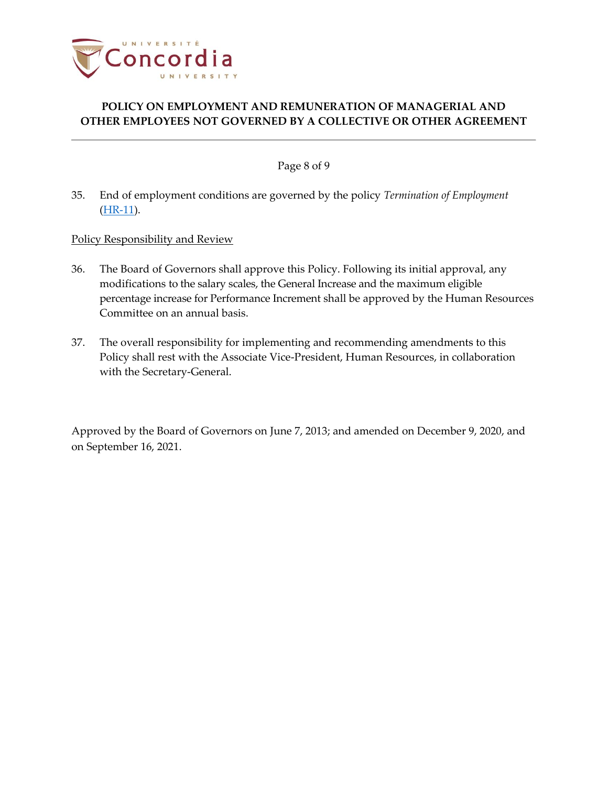

Page 8 of 9

35. End of employment conditions are governed by the policy *Termination of Employment*  [\(HR-11\)](https://www.concordia.ca/content/dam/common/docs/policies/official-policies/HR-11.pdf).

Policy Responsibility and Review

- 36. The Board of Governors shall approve this Policy. Following its initial approval, any modifications to the salary scales, the General Increase and the maximum eligible percentage increase for Performance Increment shall be approved by the Human Resources Committee on an annual basis.
- 37. The overall responsibility for implementing and recommending amendments to this Policy shall rest with the Associate Vice-President, Human Resources, in collaboration with the Secretary-General.

Approved by the Board of Governors on June 7, 2013; and amended on December 9, 2020, and on September 16, 2021.